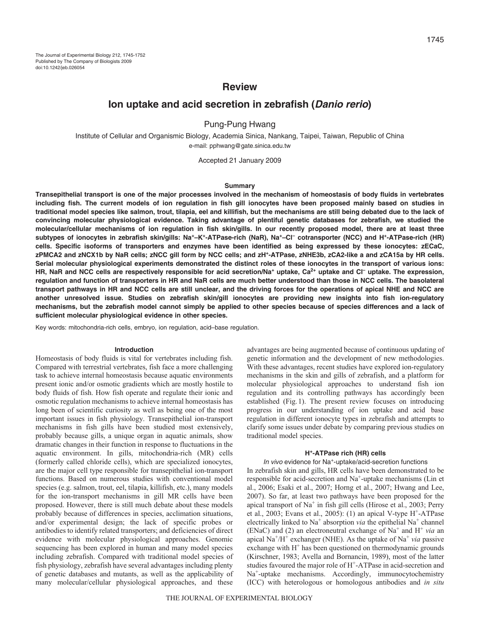# **Ion uptake and acid secretion in zebrafish (Danio rerio)**

Pung-Pung Hwang

Institute of Cellular and Organismic Biology, Academia Sinica, Nankang, Taipei, Taiwan, Republic of China e-mail: pphwang@gate.sinica.edu.tw

Accepted 21 January 2009

### **Summary**

**Transepithelial transport is one of the major processes involved in the mechanism of homeostasis of body fluids in vertebrates including fish. The current models of ion regulation in fish gill ionocytes have been proposed mainly based on studies in traditional model species like salmon, trout, tilapia, eel and killifish, but the mechanisms are still being debated due to the lack of convincing molecular physiological evidence. Taking advantage of plentiful genetic databases for zebrafish, we studied the molecular/cellular mechanisms of ion regulation in fish skin/gills. In our recently proposed model, there are at least three subtypes of ionocytes in zebrafish skin/gills: Na+–K+-ATPase-rich (NaR), Na+–Cl– cotransporter (NCC) and H+-ATPase-rich (HR) cells. Specific isoforms of transporters and enzymes have been identified as being expressed by these ionocytes: zECaC,** zPMCA2 and zNCX1b by NaR cells; zNCC gill form by NCC cells; and zH<sup>+</sup>-ATPase, zNHE3b, zCA2-like a and zCA15a by HR cells. **Serial molecular physiological experiments demonstrated the distinct roles of these ionocytes in the transport of various ions: HR, NaR and NCC cells are respectively responsible for acid secretion/Na+ uptake, Ca2+ uptake and Cl– uptake. The expression, regulation and function of transporters in HR and NaR cells are much better understood than those in NCC cells. The basolateral transport pathways in HR and NCC cells are still unclear, and the driving forces for the operations of apical NHE and NCC are another unresolved issue. Studies on zebrafish skin/gill ionocytes are providing new insights into fish ion-regulatory mechanisms, but the zebrafish model cannot simply be applied to other species because of species differences and a lack of sufficient molecular physiological evidence in other species.**

Key words: mitochondria-rich cells, embryo, ion regulation, acid–base regulation.

### **Introduction**

Homeostasis of body fluids is vital for vertebrates including fish. Compared with terrestrial vertebrates, fish face a more challenging task to achieve internal homeostasis because aquatic environments present ionic and/or osmotic gradients which are mostly hostile to body fluids of fish. How fish operate and regulate their ionic and osmotic regulation mechanisms to achieve internal homeostasis has long been of scientific curiosity as well as being one of the most important issues in fish physiology. Transepithelial ion-transport mechanisms in fish gills have been studied most extensively, probably because gills, a unique organ in aquatic animals, show dramatic changes in their function in response to fluctuations in the aquatic environment. In gills, mitochondria-rich (MR) cells (formerly called chloride cells), which are specialized ionocytes, are the major cell type responsible for transepithelial ion-transport functions. Based on numerous studies with conventional model species (e.g. salmon, trout, eel, tilapia, killifish, etc.), many models for the ion-transport mechanisms in gill MR cells have been proposed. However, there is still much debate about these models probably because of differences in species, acclimation situations, and/or experimental design; the lack of specific probes or antibodies to identify related transporters; and deficiencies of direct evidence with molecular physiological approaches. Genomic sequencing has been explored in human and many model species including zebrafish. Compared with traditional model species of fish physiology, zebrafish have several advantages including plenty of genetic databases and mutants, as well as the applicability of many molecular/cellular physiological approaches, and these

advantages are being augmented because of continuous updating of genetic information and the development of new methodologies. With these advantages, recent studies have explored ion-regulatory mechanisms in the skin and gills of zebrafish, and a platform for molecular physiological approaches to understand fish ion regulation and its controlling pathways has accordingly been established (Fig.1). The present review focuses on introducing progress in our understanding of ion uptake and acid base regulation in different ionocyte types in zebrafish and attempts to clarify some issues under debate by comparing previous studies on traditional model species.

## **H+-ATPase rich (HR) cells**

In vivo evidence for Na+-uptake/acid-secretion functions In zebrafish skin and gills, HR cells have been demonstrated to be responsible for acid-secretion and Na+-uptake mechanisms (Lin et al., 2006; Esaki et al., 2007; Horng et al., 2007; Hwang and Lee, 2007). So far, at least two pathways have been proposed for the apical transport of  $Na<sup>+</sup>$  in fish gill cells (Hirose et al., 2003; Perry et al., 2003; Evans et al., 2005): (1) an apical V-type H<sup>+</sup>-ATPase electrically linked to  $Na<sup>+</sup>$  absorption *via* the epithelial  $Na<sup>+</sup>$  channel (ENaC) and (2) an electroneutral exchange of  $Na<sup>+</sup>$  and  $H<sup>+</sup>$  *via* an apical  $Na^{+}/H^{+}$  exchanger (NHE). As the uptake of  $Na^{+}$  *via* passive exchange with  $H<sup>+</sup>$  has been questioned on thermodynamic grounds (Kirschner, 1983; Avella and Bornancin, 1989), most of the latter studies favoured the major role of H<sup>+</sup>-ATPase in acid-secretion and Na<sup>+</sup>-uptake mechanisms. Accordingly, immunocytochemistry (ICC) with heterologous or homologous antibodies and *in situ*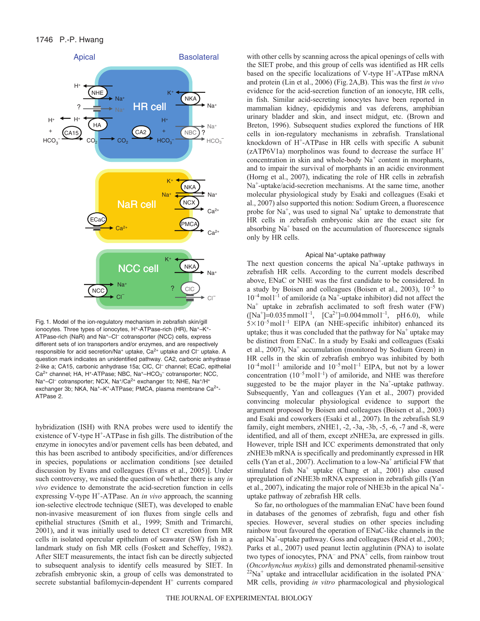

Fig. 1. Model of the ion-regulatory mechanism in zebrafish skin/gill ionocytes. Three types of ionocytes, H<sup>+</sup>-ATPase-rich (HR), Na<sup>+</sup>-K<sup>+</sup>-ATPase-rich (NaR) and Na+–Cl– cotransporter (NCC) cells, express different sets of ion transporters and/or enzymes, and are respectively responsible for acid secretion/Na<sup>+</sup> uptake,  $Ca^{2+}$  uptake and Cl<sup>-</sup> uptake. A question mark indicates an unidentified pathway. CA2, carbonic anhydrase 2-like a; CA15, carbonic anhydrase 15a; ClC, Cl– channel; ECaC, epithelial  $Ca<sup>2+</sup>$  channel; HA, H<sup>+</sup>-ATPase; NBC, Na<sup>+</sup>-HCO<sub>3</sub><sup>-</sup> cotransporter; NCC, Na<sup>+</sup>-Cl<sup>-</sup> cotransporter; NCX, Na<sup>+</sup>/Ca<sup>2+</sup> exchanger 1b; NHE, Na<sup>+</sup>/H<sup>+</sup> exchanger 3b; NKA, Na<sup>+</sup>-K<sup>+</sup>-ATPase; PMCA, plasma membrane Ca<sup>2+</sup>-ATPase 2.

hybridization (ISH) with RNA probes were used to identify the existence of V-type  $H^+$ -ATPase in fish gills. The distribution of the enzyme in ionocytes and/or pavement cells has been debated, and this has been ascribed to antibody specificities, and/or differences in species, populations or acclimation conditions [see detailed discussion by Evans and colleagues (Evans et al., 2005)]. Under such controversy, we raised the question of whether there is any *in vivo* evidence to demonstrate the acid-secretion function in cells expressing V-type H<sup>+</sup>-ATPase. An *in vivo* approach, the scanning ion-selective electrode technique (SIET), was developed to enable non-invasive measurement of ion fluxes from single cells and epithelial structures (Smith et al., 1999; Smith and Trimarchi, 2001), and it was initially used to detect Cl– excretion from MR cells in isolated opercular epithelium of seawater (SW) fish in a landmark study on fish MR cells (Foskett and Scheffey, 1982). After SIET measurements, the intact fish can be directly subjected to subsequent analysis to identify cells measured by SIET. In zebrafish embryonic skin, a group of cells was demonstrated to secrete substantial bafilomycin-dependent  $H<sup>+</sup>$  currents compared with other cells by scanning across the apical openings of cells with the SIET probe, and this group of cells was identified as HR cells based on the specific localizations of V-type H<sup>+</sup>-ATPase mRNA and protein (Lin et al., 2006) (Fig.2A,B). This was the first *in vivo* evidence for the acid-secretion function of an ionocyte, HR cells, in fish. Similar acid-secreting ionocytes have been reported in mammalian kidney, epididymis and vas deferens, amphibian urinary bladder and skin, and insect midgut, etc. (Brown and Breton, 1996). Subsequent studies explored the functions of HR cells in ion-regulatory mechanisms in zebrafish. Translational knockdown of H+-ATPase in HR cells with specific A subunit  $(zATP6V1a)$  morpholinos was found to decrease the surface  $H^+$ concentration in skin and whole-body  $Na<sup>+</sup>$  content in morphants, and to impair the survival of morphants in an acidic environment (Horng et al., 2007), indicating the role of HR cells in zebrafish Na<sup>+</sup>-uptake/acid-secretion mechanisms. At the same time, another molecular physiological study by Esaki and colleagues (Esaki et al., 2007) also supported this notion: Sodium Green, a fluorescence probe for  $Na<sup>+</sup>$ , was used to signal  $Na<sup>+</sup>$  uptake to demonstrate that HR cells in zebrafish embryonic skin are the exact site for absorbing  $Na<sup>+</sup>$  based on the accumulation of fluorescence signals only by HR cells.

#### Apical Na+-uptake pathway

The next question concerns the apical  $Na^+$ -uptake pathways in zebrafish HR cells. According to the current models described above, ENaC or NHE was the first candidate to be considered. In a study by Boisen and colleagues (Boisen et al., 2003),  $10^{-5}$  to  $10^{-4}$  moll<sup>-1</sup> of amiloride (a Na<sup>+</sup>-uptake inhibitor) did not affect the  $Na<sup>+</sup>$  uptake in zebrafish acclimated to soft fresh water (FW)  $([Na<sup>+</sup>] = 0.035$  mmol<sup>1-1</sup>,  $[Ca<sup>2+</sup>] = 0.004$  mmol<sup>1-1</sup>, pH 6.0), while  $5 \times 10^{-5}$  moll<sup>-1</sup> EIPA (an NHE-specific inhibitor) enhanced its uptake; thus it was concluded that the pathway for  $Na<sup>+</sup>$  uptake may be distinct from ENaC. In a study by Esaki and colleagues (Esaki et al., 2007),  $Na<sup>+</sup>$  accumulation (monitored by Sodium Green) in HR cells in the skin of zebrafish embryo was inhibited by both  $10^{-4}$  moll<sup>-1</sup> amiloride and  $10^{-5}$  moll<sup>-1</sup> EIPA, but not by a lower concentration  $(10^{-5} \text{mol}^{-1})$  of amiloride, and NHE was therefore suggested to be the major player in the  $Na<sup>+</sup>$ -uptake pathway. Subsequently, Yan and colleagues (Yan et al., 2007) provided convincing molecular physiological evidence to support the argument proposed by Boisen and colleagues (Boisen et al., 2003) and Esaki and coworkers (Esaki et al., 2007). In the zebrafish SL9 family, eight members, zNHE1, -2, -3a, -3b, -5, -6, -7 and -8, were identified, and all of them, except zNHE3a, are expressed in gills. However, triple ISH and ICC experiments demonstrated that only zNHE3b mRNA is specifically and predominantly expressed in HR cells (Yan et al., 2007). Acclimation to a low-Na+ artificial FW that stimulated fish Na<sup>+</sup> uptake (Chang et al., 2001) also caused upregulation of zNHE3b mRNA expression in zebrafish gills (Yan et al., 2007), indicating the major role of NHE3b in the apical Na+ uptake pathway of zebrafish HR cells.

So far, no orthologues of the mammalian ENaC have been found in databases of the genomes of zebrafish, fugu and other fish species. However, several studies on other species including rainbow trout favoured the operation of ENaC-like channels in the apical Na+-uptake pathway. Goss and colleagues (Reid et al., 2003; Parks et al., 2007) used peanut lectin agglutinin (PNA) to isolate two types of ionocytes,  $PNA^-$  and  $PNA^+$  cells, from rainbow trout (*Oncorhynchus mykiss*) gills and demonstrated phenamil-sensitive  $^{22}Na^{+}$  uptake and intracellular acidification in the isolated PNA<sup>-</sup> MR cells, providing *in vitro* pharmacological and physiological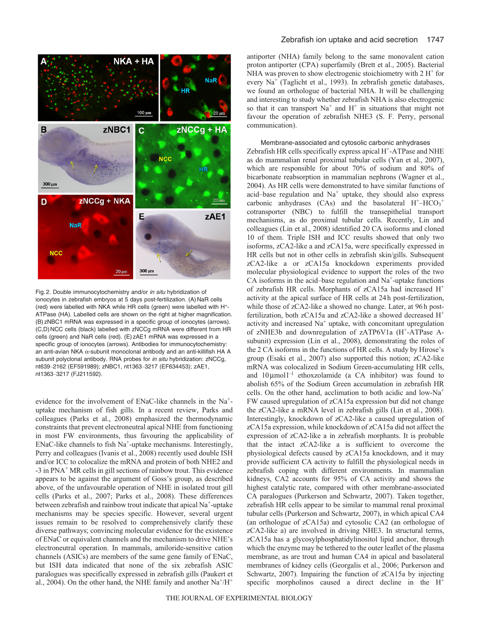

Fig. 2. Double immunocytochemistry and/or in situ hybridization of ionocytes in zebrafish embryos at 5 days post-fertilization. (A) NaR cells (red) were labelled with NKA while HR cells (green) were labelled with H+- ATPase (HA). Labelled cells are shown on the right at higher magnification. (B) zNBC1 mRNA was expressed in a specific group of ionocytes (arrows). (C,D) NCC cells (black) labelled with zNCCg mRNA were different from HR cells (green) and NaR cells (red). (E) zAE1 mRNA was expressed in a specific group of ionocytes (arrows). Antibodies for immunocytochemistry: an anti-avian NKA α-subunit monoclonal antibody and an anti-killifish HA A subunit polyclonal antibody. RNA probes for in situ hybridization: zNCCg, nt639–2162 (EF591989); zNBC1, nt1363–3217 (EF634453); zAE1, nt1363–3217 (FJ211592).

evidence for the involvement of ENaC-like channels in the Na+ uptake mechanism of fish gills. In a recent review, Parks and colleagues (Parks et al., 2008) emphasized the thermodynamic constraints that prevent electroneutral apical NHE from functioning in most FW environments, thus favouring the applicability of ENaC-like channels to fish Na<sup>+</sup>-uptake mechanisms. Interestingly, Perry and colleagues (Ivanis et al., 2008) recently used double ISH and/or ICC to colocalize the mRNA and protein of both NHE2 and -3 in PNA+ MR cells in gill sections of rainbow trout. This evidence appears to be against the argument of Goss's group, as described above, of the unfavourable operation of NHE in isolated trout gill cells (Parks et al., 2007; Parks et al., 2008). These differences between zebrafish and rainbow trout indicate that apical Na<sup>+</sup>-uptake mechanisms may be species specific. However, several urgent issues remain to be resolved to comprehensively clarify these diverse pathways; convincing molecular evidence for the existence of ENaC or equivalent channels and the mechanism to drive NHE's electroneutral operation. In mammals, amiloride-sensitive cation channels (ASICs) are members of the same gene family of ENaC, but ISH data indicated that none of the six zebrafish ASIC paralogues was specifically expressed in zebrafish gills (Paukert et al., 2004). On the other hand, the NHE family and another Na<sup>+</sup>/H<sup>+</sup>

antiporter (NHA) family belong to the same monovalent cation proton antiporter (CPA) superfamily (Brett et al., 2005). Bacterial NHA was proven to show electrogenic stoichiometry with  $2 H<sup>+</sup>$  for every Na<sup>+</sup> (Taglicht et al., 1993). In zebrafish genetic databases, we found an orthologue of bacterial NHA. It will be challenging and interesting to study whether zebrafish NHA is also electrogenic so that it can transport  $Na<sup>+</sup>$  and  $H<sup>+</sup>$  in situations that might not favour the operation of zebrafish NHE3 (S. F. Perry, personal communication).

Membrane-associated and cytosolic carbonic anhydrases Zebrafish HR cells specifically express apical  $H^+$ -ATPase and NHE as do mammalian renal proximal tubular cells (Yan et al., 2007), which are responsible for about 70% of sodium and 80% of bicarbonate reabsorption in mammalian nephrons (Wagner et al., 2004). As HR cells were demonstrated to have similar functions of acid–base regulation and  $Na<sup>+</sup>$  uptake, they should also express carbonic anhydrases (CAs) and the basolateral  $H^+$ –HCO<sub>3</sub><sup>+</sup> cotransporter (NBC) to fulfill the transepithelial transport mechanisms, as do proximal tubular cells. Recently, Lin and colleagues (Lin et al., 2008) identified 20 CA isoforms and cloned 10 of them. Triple ISH and ICC results showed that only two isoforms, zCA2-like a and zCA15a, were specifically expressed in HR cells but not in other cells in zebrafish skin/gills. Subsequent zCA2-like a or zCA15a knockdown experiments provided molecular physiological evidence to support the roles of the two CA isoforms in the acid–base regulation and  $Na^+$ -uptake functions of zebrafish HR cells. Morphants of zCA15a had increased H+ activity at the apical surface of HR cells at 24h post-fertilization, while those of zCA2-like a showed no change. Later, at 96h postfertilization, both zCA15a and zCA2-like a showed decreased  $H^+$ activity and increased Na<sup>+</sup> uptake, with concomitant upregulation of zNHE3b and downregulation of zATP6V1a (H+-ATPase Asubunit) expression (Lin et al., 2008), demonstrating the roles of the 2 CA isoforms in the functions of HR cells. A study by Hirose's group (Esaki et al., 2007) also supported this notion; zCA2-like mRNA was colocalized in Sodium Green-accumulating HR cells, and  $10 \mu$ moll<sup>-1</sup> ethoxzolamide (a CA inhibitor) was found to abolish 65% of the Sodium Green accumulation in zebrafish HR cells. On the other hand, acclimation to both acidic and low-Na+ FW caused upregulation of zCA15a expression but did not change the zCA2-like a mRNA level in zebrafish gills (Lin et al., 2008). Interestingly, knockdown of zCA2-like a caused upregulation of zCA15a expression, while knockdown of zCA15a did not affect the expression of zCA2-like a in zebrafish morphants. It is probable that the intact zCA2-like a is sufficient to overcome the physiological defects caused by zCA15a knockdown, and it may provide sufficient CA activity to fulfill the physiological needs in zebrafish coping with different environments. In mammalian kidneys, CA2 accounts for 95% of CA activity and shows the highest catalytic rate, compared with other membrane-associated CA paralogues (Purkerson and Schwartz, 2007). Taken together, zebrafish HR cells appear to be similar to mammal renal proximal tubular cells (Purkerson and Schwartz, 2007), in which apical CA4 (an orthologue of zCA15a) and cytosolic CA2 (an orthologue of zCA2-like a) are involved in driving NHE3. In structural terms, zCA15a has a glycosylphosphatidylinositol lipid anchor, through which the enzyme may be tethered to the outer leaflet of the plasma membrane, as are trout and human CA4 in apical and basolateral membranes of kidney cells (Georgalis et al., 2006; Purkerson and Schwartz, 2007). Impairing the function of zCA15a by injecting specific morpholinos caused a direct decline in the H<sup>+</sup>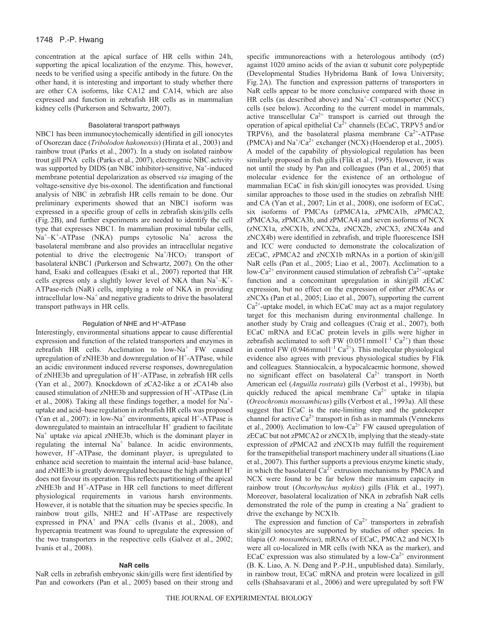concentration at the apical surface of HR cells within 24h, supporting the apical localization of the enzyme. This, however, needs to be verified using a specific antibody in the future. On the other hand, it is interesting and important to study whether there are other CA isoforms, like CA12 and CA14, which are also expressed and function in zebrafish HR cells as in mammalian kidney cells (Purkerson and Schwartz, 2007).

## Basolateral transport pathways

NBC1 has been immunocytochemically identified in gill ionocytes of Osorezan dace (*Tribolodon hakonensis*) (Hirata et al., 2003) and rainbow trout (Parks et al., 2007). In a study on isolated rainbow trout gill PNA– cells (Parks et al., 2007), electrogenic NBC activity was supported by DIDS (an NBC inhibitor)-sensitive, Na<sup>+</sup>-induced membrane potential depolarization as observed *via* imaging of the voltage-sensitive dye bis-oxonol. The identification and functional analysis of NBC in zebrafish HR cells remain to be done. Our preliminary experiments showed that an NBC1 isoform was expressed in a specific group of cells in zebrafish skin/gills cells (Fig.2B), and further experiments are needed to identify the cell type that expresses NBC1. In mammalian proximal tubular cells,  $Na<sup>+</sup>-K<sup>+</sup>-ATPase$  (NKA) pumps cytosolic Na<sup>+</sup> across the basolateral membrane and also provides an intracellular negative potential to drive the electrogenic  $Na^+/HCO_3^-$  transport of basolateral kNBC1 (Purkerson and Schwartz, 2007). On the other hand, Esaki and colleagues (Esaki et al., 2007) reported that HR cells express only a slightly lower level of NKA than  $Na^+–K^+$ -ATPase-rich (NaR) cells, implying a role of NKA in providing intracellular low- $Na^+$  and negative gradients to drive the basolateral transport pathways in HR cells.

#### Regulation of NHE and H+-ATPase

Interestingly, environmental situations appear to cause differential expression and function of the related transporters and enzymes in zebrafish HR cells. Acclimation to  $low-Na^+$  FW caused upregulation of zNHE3b and downregulation of H<sup>+</sup>-ATPase, while an acidic environment induced reverse responses, downregulation of zNHE3b and upregulation of H+-ATPase, in zebrafish HR cells (Yan et al., 2007). Knockdown of zCA2-like a or zCA14b also caused stimulation of zNHE3b and suppression of  $H^+$ -ATPase (Lin et al., 2008). Taking all these findings together, a model for Na+ uptake and acid–base regulation in zebrafish HR cells was proposed (Yan et al., 2007): in low-Na<sup>+</sup> environments, apical H<sup>+</sup>-ATPase is downregulated to maintain an intracellular  $H^+$  gradient to facilitate Na+ uptake *via* apical zNHE3b, which is the dominant player in regulating the internal  $Na<sup>+</sup>$  balance. In acidic environments, however, H<sup>+</sup>-ATPase, the dominant player, is upregulated to enhance acid secretion to maintain the internal acid–base balance, and zNHE3b is greatly downregulated because the high ambient  $H^+$ does not favour its operation. This reflects partitioning of the apical zNHE3b and H+-ATPase in HR cell functions to meet different physiological requirements in various harsh environments. However, it is notable that the situation may be species specific. In rainbow trout gills, NHE2 and H<sup>+</sup>-ATPase are respectively expressed in  $PNA<sup>+</sup>$  and  $PNA<sup>-</sup>$  cells (Ivanis et al., 2008), and hypercapnia treatment was found to upregulate the expression of the two transporters in the respective cells (Galvez et al., 2002; Ivanis et al., 2008).

# **NaR cells**

NaR cells in zebrafish embryonic skin/gills were first identified by Pan and coworkers (Pan et al., 2005) based on their strong and specific immunoreactions with a heterologous antibody  $(\alpha 5)$ against 1020 amino acids of the avian  $\alpha$  subunit core polypeptide (Developmental Studies Hybridoma Bank of Iowa University; Fig.2A). The function and expression patterns of transporters in NaR cells appear to be more conclusive compared with those in HR cells (as described above) and Na<sup>+</sup>-Cl<sup>-</sup>-cotransporter (NCC) cells (see below). According to the current model in mammals, active transcellular  $Ca^{2+}$  transport is carried out through the operation of apical epithelial  $Ca^{2+}$  channels (ECaC, TRPV5 and/or TRPV6), and the basolateral plasma membrane  $Ca^{2+}-ATP$ ase (PMCA) and  $\text{Na}^+\text{/Ca}^{2+}$  exchanger (NCX) (Hoenderop et al., 2005). A model of the capability of physiological regulation has been similarly proposed in fish gills (Flik et al., 1995). However, it was not until the study by Pan and colleagues (Pan et al., 2005) that molecular evidence for the existence of an orthologue of mammalian ECaC in fish skin/gill ionocytes was provided. Using similar approaches to those used in the studies on zebrafish NHE and CA (Yan et al., 2007; Lin et al., 2008), one isoform of ECaC, six isoforms of PMCAs (zPMCA1a, zPMCA1b, zPMCA2, zPMCA3a, zPMCA3b, and zPMCA4) and seven isoforms of NCX (zNCX1a, zNCX1b, zNCX2a, zNCX2b, zNCX3, zNCX4a and zNCX4b) were identified in zebrafish, and triple fluorescence ISH and ICC were conducted to demonstrate the colocalization of zECaC, zPMCA2 and zNCX1b mRNAs in a portion of skin/gill NaR cells (Pan et al., 2005; Liao et al., 2007). Acclimation to a low-Ca<sup>2+</sup> environment caused stimulation of zebrafish Ca<sup>2+</sup>-uptake function and a concomitant upregulation in skin/gill zECaC expression, but no effect on the expression of either zPMCAs or zNCXs (Pan et al., 2005; Liao et al., 2007), supporting the current  $Ca<sup>2+</sup>$ -uptake model, in which ECaC may act as a major regulatory target for this mechanism during environmental challenge. In another study by Craig and colleagues (Craig et al., 2007), both ECaC mRNA and ECaC protein levels in gills were higher in zebrafish acclimated to soft FW (0.051 mmol<sup>1-1</sup> Ca<sup>2+</sup>) than those in control FW (0.946 mmol<sup> $-1$ </sup> Ca<sup>2+</sup>). This molecular physiological evidence also agrees with previous physiological studies by Flik and colleagues. Stanniocalcin, a hypocalcaemic hormone, showed no significant effect on basolateral Ca<sup>2+</sup> transport in North American eel (*Anguilla rostrata*) gills (Verbost et al., 1993b), but quickly reduced the apical membrane  $Ca^{2+}$  uptake in tilapia (*Oreochromis mossambicus*) gills (Verbost et al., 1993a). All these suggest that ECaC is the rate-limiting step and the gatekeeper channel for active  $Ca^{2+}$  transport in fish as in mammals (Vennekens et al., 2000). Acclimation to low-Ca<sup>2+</sup> FW caused upregulation of zECaC but not zPMCA2 or zNCX1b, implying that the steady-state expression of zPMCA2 and zNCX1b may fulfill the requirement for the transepithelial transport machinery under all situations (Liao et al., 2007). This further supports a previous enzyme kinetic study, in which the basolateral  $Ca^{2+}$  extrusion mechanisms by PMCA and NCX were found to be far below their maximum capacity in rainbow trout (*Oncorhynchus mykiss*) gills (Flik et al., 1997). Moreover, basolateral localization of NKA in zebrafish NaR cells demonstrated the role of the pump in creating a  $Na<sup>+</sup>$  gradient to drive the exchange by NCX1b.

The expression and function of  $Ca^{2+}$  transporters in zebrafish skin/gill ionocytes are supported by studies of other species. In tilapia (*O. mossambicus*), mRNAs of ECaC, PMCA2 and NCX1b were all co-localized in MR cells (with NKA as the marker), and ECaC expression was also stimulated by a low-Ca<sup>2+</sup> environment (B. K. Liao, A. N. Deng and P.-P.H., unpublished data). Similarly, in rainbow trout, ECaC mRNA and protein were localized in gill cells (Shahsavarani et al., 2006) and were upregulated by soft FW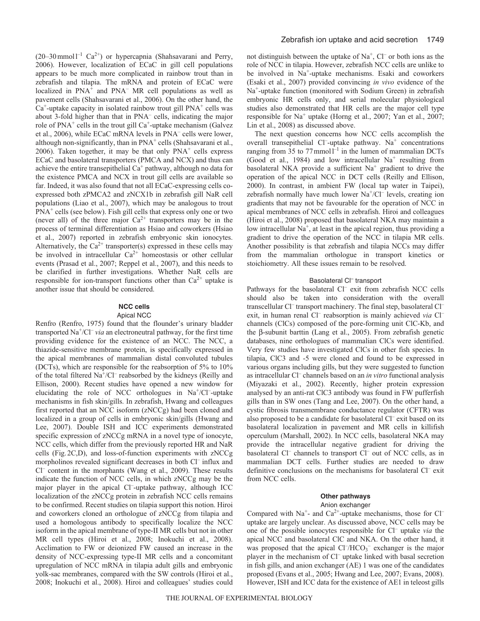$(20-30 \text{ mmol})^{-1}$  Ca<sup>2+</sup>) or hypercapnia (Shahsavarani and Perry, 2006). However, localization of ECaC in gill cell populations appears to be much more complicated in rainbow trout than in zebrafish and tilapia. The mRNA and protein of ECaC were localized in  $PNA<sup>+</sup>$  and  $PNA<sup>-</sup> MR$  cell populations as well as pavement cells (Shahsavarani et al., 2006). On the other hand, the  $Ca<sup>+</sup>$ -uptake capacity in isolated rainbow trout gill PNA<sup>+</sup> cells was about 3-fold higher than that in PNA– cells, indicating the major role of  $PNA^+$  cells in the trout gill  $Ca^+$ -uptake mechanism (Galvez et al., 2006), while ECaC mRNA levels in PNA– cells were lower, although non-significantly, than in  $PNA<sup>+</sup>$  cells (Shahsavarani et al., 2006). Taken together, it may be that only  $PNA<sup>+</sup>$  cells express ECaC and basolateral transporters (PMCA and NCX) and thus can achieve the entire transepithelial  $Ca^+$  pathway, although no data for the existence PMCA and NCX in trout gill cells are available so far. Indeed, it was also found that not all ECaC-expressing cells coexpressed both zPMCA2 and zNCX1b in zebrafish gill NaR cell populations (Liao et al., 2007), which may be analogous to trout PNA<sup>+</sup> cells (see below). Fish gill cells that express only one or two (never all) of the three major  $Ca^{2+}$  transporters may be in the process of terminal differentiation as Hsiao and coworkers (Hsiao et al., 2007) reported in zebrafish embryonic skin ionocytes. Alternatively, the  $Ca^{2+}$  transporter(s) expressed in these cells may be involved in intracellular  $Ca^{2+}$  homeostasis or other cellular events (Prasad et al., 2007; Reppel et al., 2007), and this needs to be clarified in further investigations. Whether NaR cells are responsible for ion-transport functions other than  $Ca^{2+}$  uptake is another issue that should be considered.

#### **NCC cells**

#### Apical NCC

Renfro (Renfro, 1975) found that the flounder's urinary bladder transported Na+/Cl– *via* an electroneutral pathway, for the first time providing evidence for the existence of an NCC. The NCC, a thiazide-sensitive membrane protein, is specifically expressed in the apical membranes of mammalian distal convoluted tubules (DCTs), which are responsible for the reabsorption of 5% to 10% of the total filtered Na+/Cl– reabsorbed by the kidneys (Reilly and Ellison, 2000). Recent studies have opened a new window for elucidating the role of NCC orthologues in  $Na^+/Cl^-$ -uptake mechanisms in fish skin/gills. In zebrafish, Hwang and colleagues first reported that an NCC isoform (zNCCg) had been cloned and localized in a group of cells in embryonic skin/gills (Hwang and Lee, 2007). Double ISH and ICC experiments demonstrated specific expression of zNCCg mRNA in a novel type of ionocyte, NCC cells, which differ from the previously reported HR and NaR cells (Fig.2C,D), and loss-of-function experiments with zNCCg morpholinos revealed significant decreases in both Cl– influx and Cl<sup>–</sup> content in the morphants (Wang et al., 2009). These results indicate the function of NCC cells, in which zNCCg may be the major player in the apical Cl<sup>-</sup>-uptake pathway, although ICC localization of the zNCCg protein in zebrafish NCC cells remains to be confirmed. Recent studies on tilapia support this notion. Hiroi and coworkers cloned an orthologue of zNCCg from tilapia and used a homologous antibody to specifically localize the NCC isoform in the apical membrane of type-II MR cells but not in other MR cell types (Hiroi et al., 2008; Inokuchi et al., 2008). Acclimation to FW or deionized FW caused an increase in the density of NCC-expressing type-II MR cells and a concomitant upregulation of NCC mRNA in tilapia adult gills and embryonic yolk-sac membranes, compared with the SW controls (Hiroi et al., 2008; Inokuchi et al., 2008). Hiroi and colleagues' studies could not distinguish between the uptake of  $Na<sup>+</sup>$ , Cl<sup>–</sup> or both ions as the role of NCC in tilapia. However, zebrafish NCC cells are unlike to be involved in Na<sup>+</sup>-uptake mechanisms. Esaki and coworkers (Esaki et al., 2007) provided convincing *in vivo* evidence of the Na+-uptake function (monitored with Sodium Green) in zebrafish embryonic HR cells only, and serial molecular physiological studies also demonstrated that HR cells are the major cell type responsible for Na+ uptake (Horng et al., 2007; Yan et al., 2007; Lin et al., 2008) as discussed above.

The next question concerns how NCC cells accomplish the overall transepithelial Cl<sup>-</sup>-uptake pathway. Na<sup>+</sup> concentrations ranging from 35 to 77 mmol<sup> $1^{-1}$ </sup> in the lumen of mammalian DCTs (Good et al., 1984) and low intracellular  $Na<sup>+</sup>$  resulting from basolateral NKA provide a sufficient Na<sup>+</sup> gradient to drive the operation of the apical NCC in DCT cells (Reilly and Ellison, 2000). In contrast, in ambient FW (local tap water in Taipei), zebrafish normally have much lower  $Na<sup>+/</sup>Cl<sup>-</sup>$  levels, creating ion gradients that may not be favourable for the operation of NCC in apical membranes of NCC cells in zebrafish. Hiroi and colleagues (Hiroi et al., 2008) proposed that basolateral NKA may maintain a low intracellular  $Na<sup>+</sup>$ , at least in the apical region, thus providing a gradient to drive the operation of the NCC in tilapia MR cells. Another possibility is that zebrafish and tilapia NCCs may differ from the mammalian orthologue in transport kinetics or stoichiometry. All these issues remain to be resolved.

# Basolateral Cl<sup>-</sup> transport

Pathways for the basolateral Cl<sup>-</sup> exit from zebrafish NCC cells should also be taken into consideration with the overall transcellular Cl<sup>-</sup> transport machinery. The final step, basolateral Cl<sup>-</sup> exit, in human renal Cl<sup>-</sup> reabsorption is mainly achieved *via* Cl<sup>-</sup> channels (ClCs) composed of the pore-forming unit ClC-Kb, and the β-subunit barttin (Lang et al., 2005). From zebrafish genetic databases, nine orthologues of mammalian ClCs were identified. Very few studies have investigated ClCs in other fish species. In tilapia, ClC3 and -5 were cloned and found to be expressed in various organs including gills, but they were suggested to function as intracellular Cl– channels based on an *in vitro* functional analysis (Miyazaki et al., 2002). Recently, higher protein expression analysed by an anti-rat ClC3 antibody was found in FW pufferfish gills than in SW ones (Tang and Lee, 2007). On the other hand, a cystic fibrosis transmembrane conductance regulator (CFTR) was also proposed to be a candidate for basolateral Cl– exit based on its basolateral localization in pavement and MR cells in killifish operculum (Marshall, 2002). In NCC cells, basolateral NKA may provide the intracellular negative gradient for driving the basolateral Cl<sup>-</sup> channels to transport Cl<sup>-</sup> out of NCC cells, as in mammalian DCT cells. Further studies are needed to draw definitive conclusions on the mechanisms for basolateral Cl<sup>-</sup> exit from NCC cells.

#### **Other pathways**

#### Anion exchanger

Compared with Na<sup>+</sup>- and Ca<sup>2+</sup>-uptake mechanisms, those for Cl<sup>-</sup> uptake are largely unclear. As discussed above, NCC cells may be one of the possible ionocytes responsible for Cl– uptake *via* the apical NCC and basolateral ClC and NKA. On the other hand, it was proposed that the apical  $Cl^-/HCO_3^-$  exchanger is the major player in the mechanism of Cl– uptake linked with basal secretion in fish gills, and anion exchanger (AE) 1 was one of the candidates proposed (Evans et al., 2005; Hwang and Lee, 2007; Evans, 2008). However, ISH and ICC data for the existence of AE1 in teleost gills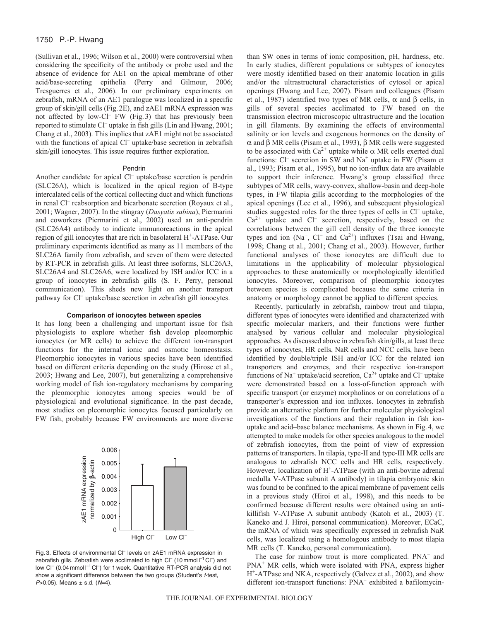# 1750 P.-P. Hwang

(Sullivan et al., 1996; Wilson et al., 2000) were controversial when considering the specificity of the antibody or probe used and the absence of evidence for AE1 on the apical membrane of other acid/base-secreting epithelia (Perry and Gilmour, 2006; Tresguerres et al., 2006). In our preliminary experiments on zebrafish, mRNA of an AE1 paralogue was localized in a specific group of skin/gill cells (Fig.2E), and zAE1 mRNA expression was not affected by low-Cl– FW (Fig.3) that has previously been reported to stimulate Cl<sup>-</sup> uptake in fish gills (Lin and Hwang, 2001; Chang et al., 2003). This implies that zAE1 might not be associated with the functions of apical Cl<sup>-</sup> uptake/base secretion in zebrafish skin/gill ionocytes. This issue requires further exploration.

### Pendrin

Another candidate for apical Cl<sup>-</sup> uptake/base secretion is pendrin (SLC26A), which is localized in the apical region of B-type intercalated cells of the cortical collecting duct and which functions in renal Cl– reabsorption and bicarbonate secretion (Royaux et al., 2001; Wagner, 2007). In the stingray (*Dasyatis sabina*), Piermarini and coworkers (Piermarini et al., 2002) used an anti-pendrin (SLC26A4) antibody to indicate immunoreactions in the apical region of gill ionocytes that are rich in basolateral H<sup>+</sup>-ATPase. Our preliminary experiments identified as many as 11 members of the SLC26A family from zebrafish, and seven of them were detected by RT-PCR in zebrafish gills. At least three isoforms, SLC26A3, SLC26A4 and SLC26A6, were localized by ISH and/or ICC in a group of ionocytes in zebrafish gills (S. F. Perry, personal communication). This sheds new light on another transport pathway for Cl– uptake/base secretion in zebrafish gill ionocytes.

# **Comparison of ionocytes between species**

It has long been a challenging and important issue for fish physiologists to explore whether fish develop pleomorphic ionocytes (or MR cells) to achieve the different ion-transport functions for the internal ionic and osmotic homeostasis. Pleomorphic ionocytes in various species have been identified based on different criteria depending on the study (Hirose et al., 2003; Hwang and Lee, 2007), but generalizing a comprehensive working model of fish ion-regulatory mechanisms by comparing the pleomorphic ionocytes among species would be of physiological and evolutional significance. In the past decade, most studies on pleomorphic ionocytes focused particularly on FW fish, probably because FW environments are more diverse



Fig. 3. Effects of environmental Cl<sup>-</sup> levels on zAE1 mRNA expression in zebrafish gills. Zebrafish were acclimated to high  $Cl^{-}$  (10 mmol  $I^{-1}Cl^{-}$ ) and low  $CI^-$  (0.04 mmol  $I^{-1}CI^-$ ) for 1 week. Quantitative RT-PCR analysis did not show a significant difference between the two groups (Student's t-test,  $P > 0.05$ ). Means  $\pm$  s.d. ( $N = 4$ ).

than SW ones in terms of ionic composition, pH, hardness, etc. In early studies, different populations or subtypes of ionocytes were mostly identified based on their anatomic location in gills and/or the ultrastructural characteristics of cytosol or apical openings (Hwang and Lee, 2007). Pisam and colleagues (Pisam et al., 1987) identified two types of MR cells,  $\alpha$  and β cells, in gills of several species acclimated to FW based on the transmission electron microscopic ultrastructure and the location in gill filaments. By examining the effects of environmental salinity or ion levels and exogenous hormones on the density of α and β MR cells (Pisam et al., 1993), β MR cells were suggested to be associated with  $Ca^{2+}$  uptake while  $\alpha$  MR cells exerted dual functions:  $Cl^-$  secretion in SW and  $Na^+$  uptake in FW (Pisam et al., 1993; Pisam et al., 1995), but no ion-influx data are available to support their inference. Hwang's group classified three subtypes of MR cells, wavy-convex, shallow-basin and deep-hole types, in FW tilapia gills according to the morphologies of the apical openings (Lee et al., 1996), and subsequent physiological studies suggested roles for the three types of cells in Cl– uptake,  $Ca^{2+}$  uptake and  $Cl^-$  secretion, respectively, based on the correlations between the gill cell density of the three ionocyte types and ion  $(Na^+, Cl^-$  and  $Ca^{2+})$  influxes (Tsai and Hwang, 1998; Chang et al., 2001; Chang et al., 2003). However, further functional analyses of those ionocytes are difficult due to limitations in the applicability of molecular physiological approaches to these anatomically or morphologically identified ionocytes. Moreover, comparison of pleomorphic ionocytes between species is complicated because the same criteria in anatomy or morphology cannot be applied to different species.

Recently, particularly in zebrafish, rainbow trout and tilapia, different types of ionocytes were identified and characterized with specific molecular markers, and their functions were further analysed by various cellular and molecular physiological approaches. As discussed above in zebrafish skin/gills, at least three types of ionocytes, HR cells, NaR cells and NCC cells, have been identified by double/triple ISH and/or ICC for the related ion transporters and enzymes, and their respective ion-transport functions of Na<sup>+</sup> uptake/acid secretion,  $Ca^{2+}$  uptake and Cl<sup>-</sup> uptake were demonstrated based on a loss-of-function approach with specific transport (or enzyme) morpholinos or on correlations of a transporter's expression and ion influxes. Ionocytes in zebrafish provide an alternative platform for further molecular physiological investigations of the functions and their regulation in fish ionuptake and acid–base balance mechanisms. As shown in Fig.4, we attempted to make models for other species analogous to the model of zebrafish ionocytes, from the point of view of expression patterns of transporters. In tilapia, type-II and type-III MR cells are analogous to zebrafish NCC cells and HR cells, respectively. However, localization of H<sup>+</sup>-ATPase (with an anti-bovine adrenal medulla V-ATPase subunit A antibody) in tilapia embryonic skin was found to be confined to the apical membrane of pavement cells in a previous study (Hiroi et al., 1998), and this needs to be confirmed because different results were obtained using an antikillifish V-ATPase A subunit antibody (Katoh et al., 2003) (T. Kaneko and J. Hiroi, personal communication). Moreover, ECaC, the mRNA of which was specifically expressed in zebrafish NaR cells, was localized using a homologous antibody to most tilapia MR cells (T. Kaneko, personal communication).

The case for rainbow trout is more complicated. PNA– and PNA<sup>+</sup> MR cells, which were isolated with PNA, express higher H+-ATPase and NKA, respectively (Galvez et al., 2002), and show different ion-transport functions: PNA– exhibited a bafilomycin-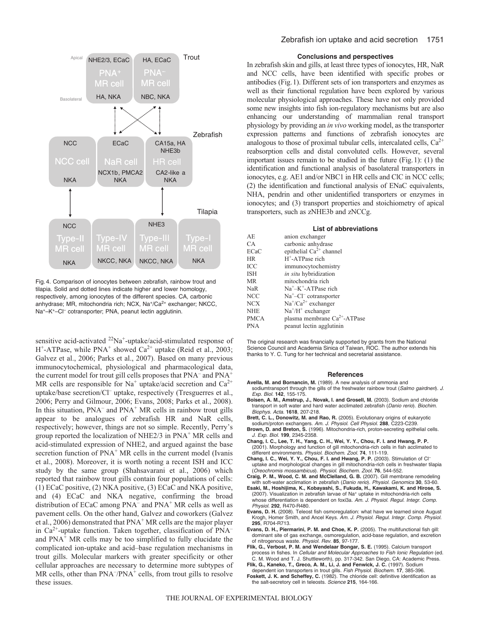

Fig. 4. Comparison of ionocytes between zebrafish, rainbow trout and tilapia. Solid and dotted lines indicate higher and lower homology, respectively, among ionocytes of the different species. CA, carbonic anhydrase; MR, mitochondria rich; NCX, Na<sup>+</sup>/Ca<sup>2+</sup> exchanger; NKCC, Na<sup>+</sup>-K<sup>+</sup>-Cl<sup>-</sup> cotransporter; PNA, peanut lectin agglutinin.

sensitive acid-activated <sup>22</sup>Na<sup>+</sup>-uptake/acid-stimulated response of  $H^+$ -ATPase, while PNA<sup>+</sup> showed Ca<sup>2+</sup> uptake (Reid et al., 2003; Galvez et al., 2006; Parks et al., 2007). Based on many previous immunocytochemical, physiological and pharmacological data, the current model for trout gill cells proposes that PNA<sup>-</sup> and PNA<sup>+</sup> MR cells are responsible for  $Na^+$  uptake/acid secretion and  $Ca^{2+}$ uptake/base secretion/Cl– uptake, respectively (Tresguerres et al., 2006; Perry and Gilmour, 2006; Evans, 2008; Parks et al., 2008). In this situation,  $PNA^{-}$  and  $PNA^{+}MR$  cells in rainbow trout gills appear to be analogues of zebrafish HR and NaR cells, respectively; however, things are not so simple. Recently, Perry's group reported the localization of NHE2/3 in  $PNA<sup>+</sup> MR$  cells and acid-stimulated expression of NHE2, and argued against the base secretion function of PNA<sup>+</sup> MR cells in the current model (Ivanis et al., 2008). Moreover, it is worth noting a recent ISH and ICC study by the same group (Shahsavarani et al., 2006) which reported that rainbow trout gills contain four populations of cells: (1) ECaC positive, (2) NKA positive, (3) ECaC and NKA positive, and (4) ECaC and NKA negative, confirming the broad distribution of ECaC among PNA– and PNA<sup>+</sup> MR cells as well as pavement cells. On the other hand, Galvez and coworkers (Galvez et al., 2006) demonstrated that  $PNA<sup>+</sup> MR$  cells are the major player in Ca<sup>2+</sup>-uptake function. Taken together, classification of  $PNA$ <sup>-</sup> and  $PNA<sup>+</sup> MR$  cells may be too simplified to fully elucidate the complicated ion-uptake and acid–base regulation mechanisms in trout gills. Molecular markers with greater specificity or other cellular approaches are necessary to determine more subtypes of MR cells, other than  $PNA^{-}/PNA^{+}$  cells, from trout gills to resolve these issues.

### Zebrafish ion uptake and acid secretion 1751

# **Conclusions and perspectives**

In zebrafish skin and gills, at least three types of ionocytes, HR, NaR and NCC cells, have been identified with specific probes or antibodies (Fig.1). Different sets of ion transporters and enzymes as well as their functional regulation have been explored by various molecular physiological approaches. These have not only provided some new insights into fish ion-regulatory mechanisms but are also enhancing our understanding of mammalian renal transport physiology by providing an *in vivo* working model, as the transporter expression patterns and functions of zebrafish ionocytes are analogous to those of proximal tubular cells, intercalated cells,  $Ca^{2+}$ reabsorption cells and distal convoluted cells. However, several important issues remain to be studied in the future (Fig.1): (1) the identification and functional analysis of basolateral transporters in ionocytes, e.g. AE1 and/or NBC1 in HR cells and ClC in NCC cells; (2) the identification and functional analysis of ENaC equivalents, NHA, pendrin and other unidentified transporters or enzymes in ionocytes; and (3) transport properties and stoichiometry of apical transporters, such as zNHE3b and zNCCg.

#### **List of abbreviations**

| AE.        | anion exchanger                     |
|------------|-------------------------------------|
| CA         | carbonic anhydrase                  |
| ECaC       | epithelial $Ca^{2+}$ channel        |
| HR         | $H^+$ -ATPase rich                  |
| ICC        | immunocytochemistry                 |
| <b>ISH</b> | in situ hybridization               |
| <b>MR</b>  | mitochondria rich                   |
| NaR        | $Na^+$ -K <sup>+</sup> -ATPase rich |
| NCC        | $Na+-Cl- cotransporter$             |
| <b>NCX</b> | $Na^{+}/Ca^{2+}$ exchanger          |
| NHE        | $Na^+/H^+$ exchanger                |
| PMCA       | plasma membrane $Ca^{2+}$ -ATPase   |
| <b>PNA</b> | peanut lectin agglutinin            |

The original research was financially supported by grants from the National Science Council and Academia Sinica of Taiwan, ROC. The author extends his thanks to Y. C. Tung for her technical and secretarial assistance.

#### **References**

- **Avella, M. and Bornancin, M.** (1989). A new analysis of ammonia and sodiumtransport through the gills of the freshwater rainbow trout (Salmo gairdneri). J. Exp. Biol. **142**, 155-175.
- **Boisen, A. M., Amstrup, J., Novak, I. and Grosell, M.** (2003). Sodium and chloride transport in soft water and hard water acclimated zebrafish (Danio rerio). Biochim. Biophys. Acta. **1618**, 207-218.
- **Brett, C. L., Donowitz, M. and Rao, R.** (2005). Evolutionary origins of eukaryotic sodium/proton exchangers. Am. J. Physiol. Cell Physiol. **288**, C223-C239.
- **Brown, D. and Breton, S.** (1996). Mitochondria-rich, proton-secreting epithelial cells. J. Exp. Biol. **199**, 2345-2358.
- **Chang, I. C., Lee, T. H., Yang, C. H., Wei, Y. Y., Chou, F. I. and Hwang, P. P.** (2001). Morphology and function of gill mitochondria-rich cells in fish acclimated to different environments. Physiol. Biochem. Zool. **74**, 111-119.
- **Chang, I. C., Wei, Y. Y., Chou, F. I. and Hwang, P. P.** (2003). Stimulation of Cl– uptake and morphological changes in gill mitochondria-rich cells in freshwater tilapia (Oreochromis mossambicus). Physiol. Biochem. Zool. **76**, 544-552.
- **Craig, P. M., Wood, C. M. and McClelland, G. B.** (2007). Gill membrane remodeling with soft-water acclimation in zebrafish (Danio rerio). Physiol. Genomics **30**, 53-60.
- **Esaki, M., Hoshijima, K., Kobayashi, S., Fukuda, H., Kawakami, K. and Hirose, S.** (2007). Visualization in zebrafish larvae of Na+ uptake in mitochondria-rich cells whose differentiation is dependent on foxi3a. Am. J. Physiol. Regul. Integr. Comp. Physiol. **292**, R470-R480.
- **Evans, D. H.** (2008). Teleost fish osmoregulation: what have we learned since August Krogh, Homer Smith, and Ancel Keys. Am. J. Physiol. Regul. Integr. Comp. Physiol. **295**, R704-R713.
- **Evans, D. H., Piermarini, P. M. and Choe, K. P.** (2005). The multifunctional fish gill: dominant site of gas exchange, osmoregulation, acid-base regulation, and excretion of nitrogenous waste. Physiol. Rev. **85**, 97-177.
- **Flik, G., Verbost, P. M. and Wendelaar Bongar, S. E.** (1995). Calcium transport process in fishes. In Cellular and Molecular Approaches to Fish Ionic Regulation (ed. C. M. Wood and T. J. Shuttleworth), pp. 317-342. San Diego, CA: Academic Press.
- **Flik, G., Kaneko, T., Greco, A. M., Li, J. and Fenwick, J. C.** (1997). Sodium dependent ion transporters in trout gills. Fish Physiol. Biochem. **17**, 385-396.
- **Foskett, J. K. and Scheffey, C.** (1982). The chloride cell: definitive identification as the salt-secretory cell in teleosts. Science **215**, 164-166.